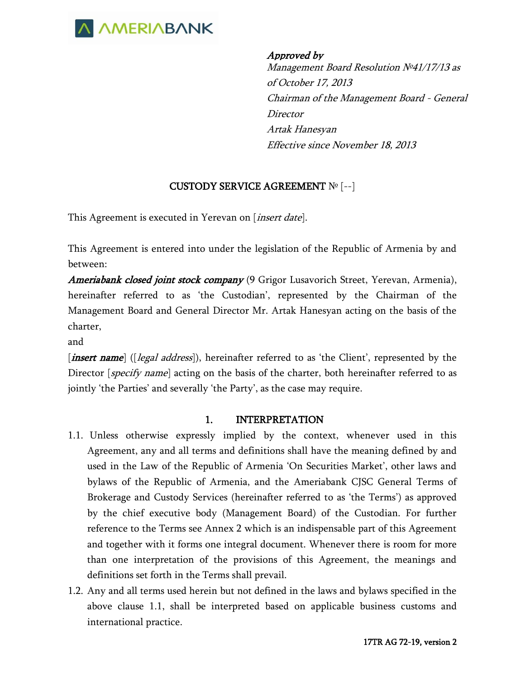

Approved by Management Board Resolution №41/17/13 as of October 17, 2013 Chairman of the Management Board - General Director Artak Hanesyan Effective since November 18, 2013

## CUSTODY SERVICE AGREEMENT № [--]

This Agreement is executed in Yerevan on [*insert date*].

This Agreement is entered into under the legislation of the Republic of Armenia by and between:

Ameriabank closed joint stock company (9 Grigor Lusavorich Street, Yerevan, Armenia), hereinafter referred to as 'the Custodian', represented by the Chairman of the Management Board and General Director Mr. Artak Hanesyan acting on the basis of the charter,

and

[*insert name*] ([*legal address*]), hereinafter referred to as 'the Client', represented by the Director *[specify name]* acting on the basis of the charter, both hereinafter referred to as jointly 'the Parties' and severally 'the Party', as the case may require.

#### 1. INTERPRETATION

- 1.1. Unless otherwise expressly implied by the context, whenever used in this Agreement, any and all terms and definitions shall have the meaning defined by and used in the Law of the Republic of Armenia 'On Securities Market', other laws and bylaws of the Republic of Armenia, and the Ameriabank CJSC General Terms of Brokerage and Custody Services (hereinafter referred to as 'the Terms') as approved by the chief executive body (Management Board) of the Custodian. For further reference to the Terms see Annex 2 which is an indispensable part of this Agreement and together with it forms one integral document. Whenever there is room for more than one interpretation of the provisions of this Agreement, the meanings and definitions set forth in the Terms shall prevail.
- 1.2. Any and all terms used herein but not defined in the laws and bylaws specified in the above clause 1.1, shall be interpreted based on applicable business customs and international practice.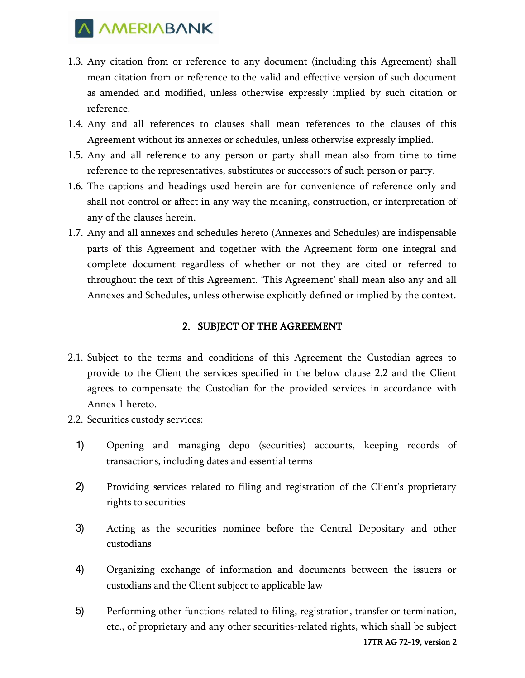

- 1.3. Any citation from or reference to any document (including this Agreement) shall mean citation from or reference to the valid and effective version of such document as amended and modified, unless otherwise expressly implied by such citation or reference.
- 1.4. Any and all references to clauses shall mean references to the clauses of this Agreement without its annexes or schedules, unless otherwise expressly implied.
- 1.5. Any and all reference to any person or party shall mean also from time to time reference to the representatives, substitutes or successors of such person or party.
- 1.6. The captions and headings used herein are for convenience of reference only and shall not control or affect in any way the meaning, construction, or interpretation of any of the clauses herein.
- 1.7. Any and all annexes and schedules hereto (Annexes and Schedules) are indispensable parts of this Agreement and together with the Agreement form one integral and complete document regardless of whether or not they are cited or referred to throughout the text of this Agreement. 'This Agreement' shall mean also any and all Annexes and Schedules, unless otherwise explicitly defined or implied by the context.

#### 2. SUBJECT OF THE AGREEMENT

- 2.1. Subject to the terms and conditions of this Agreement the Custodian agrees to provide to the Client the services specified in the below clause 2.2 and the Client agrees to compensate the Custodian for the provided services in accordance with Annex 1 hereto.
- 2.2. Securities custody services:
	- 1) Opening and managing depo (securities) accounts, keeping records of transactions, including dates and essential terms
	- 2) Providing services related to filing and registration of the Client's proprietary rights to securities
	- 3) Acting as the securities nominee before the Central Depositary and other custodians
	- 4) Organizing exchange of information and documents between the issuers or custodians and the Client subject to applicable law
	- 5) Performing other functions related to filing, registration, transfer or termination, etc., of proprietary and any other securities-related rights, which shall be subject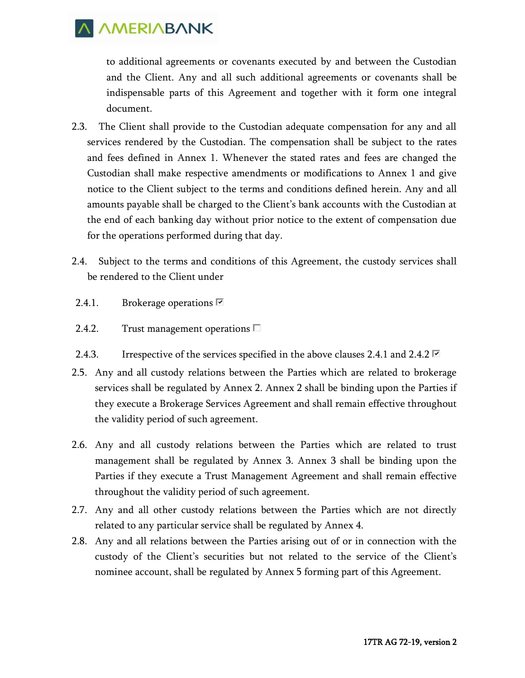to additional agreements or covenants executed by and between the Custodian and the Client. Any and all such additional agreements or covenants shall be indispensable parts of this Agreement and together with it form one integral document.

- 2.3. The Client shall provide to the Custodian adequate compensation for any and all services rendered by the Custodian. The compensation shall be subject to the rates and fees defined in Annex 1. Whenever the stated rates and fees are changed the Custodian shall make respective amendments or modifications to Annex 1 and give notice to the Client subject to the terms and conditions defined herein. Any and all amounts payable shall be charged to the Client's bank accounts with the Custodian at the end of each banking day without prior notice to the extent of compensation due for the operations performed during that day.
- 2.4. Subject to the terms and conditions of this Agreement, the custody services shall be rendered to the Client under
- 2.4.1. Brokerage operations  $\Box$
- 2.4.2. Trust management operations  $\square$
- 2.4.3. Irrespective of the services specified in the above clauses 2.4.1 and 2.4.2  $\blacksquare$
- 2.5. Any and all custody relations between the Parties which are related to brokerage services shall be regulated by Annex 2. Annex 2 shall be binding upon the Parties if they execute a Brokerage Services Agreement and shall remain effective throughout the validity period of such agreement.
- 2.6. Any and all custody relations between the Parties which are related to trust management shall be regulated by Annex 3. Annex 3 shall be binding upon the Parties if they execute a Trust Management Agreement and shall remain effective throughout the validity period of such agreement.
- 2.7. Any and all other custody relations between the Parties which are not directly related to any particular service shall be regulated by Annex 4.
- 2.8. Any and all relations between the Parties arising out of or in connection with the custody of the Client's securities but not related to the service of the Client's nominee account, shall be regulated by Annex 5 forming part of this Agreement.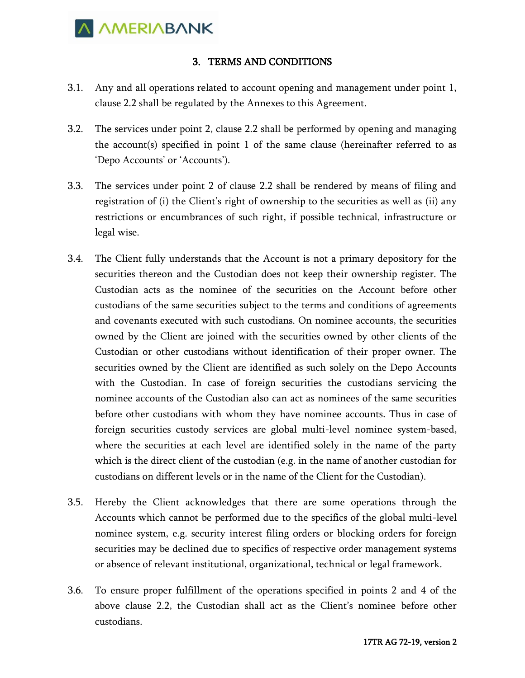

#### 3. TERMS AND CONDITIONS

- 3.1. Any and all operations related to account opening and management under point 1, clause 2.2 shall be regulated by the Annexes to this Agreement.
- 3.2. The services under point 2, clause 2.2 shall be performed by opening and managing the account(s) specified in point 1 of the same clause (hereinafter referred to as 'Depo Accounts' or 'Accounts').
- 3.3. The services under point 2 of clause 2.2 shall be rendered by means of filing and registration of (i) the Client's right of ownership to the securities as well as (ii) any restrictions or encumbrances of such right, if possible technical, infrastructure or legal wise.
- 3.4. The Client fully understands that the Account is not a primary depository for the securities thereon and the Custodian does not keep their ownership register. The Custodian acts as the nominee of the securities on the Account before other custodians of the same securities subject to the terms and conditions of agreements and covenants executed with such custodians. On nominee accounts, the securities owned by the Client are joined with the securities owned by other clients of the Custodian or other custodians without identification of their proper owner. The securities owned by the Client are identified as such solely on the Depo Accounts with the Custodian. In case of foreign securities the custodians servicing the nominee accounts of the Custodian also can act as nominees of the same securities before other custodians with whom they have nominee accounts. Thus in case of foreign securities custody services are global multi-level nominee system-based, where the securities at each level are identified solely in the name of the party which is the direct client of the custodian (e.g. in the name of another custodian for custodians on different levels or in the name of the Client for the Custodian).
- 3.5. Hereby the Client acknowledges that there are some operations through the Accounts which cannot be performed due to the specifics of the global multi-level nominee system, e.g. security interest filing orders or blocking orders for foreign securities may be declined due to specifics of respective order management systems or absence of relevant institutional, organizational, technical or legal framework.
- 3.6. To ensure proper fulfillment of the operations specified in points 2 and 4 of the above clause 2.2, the Custodian shall act as the Client's nominee before other custodians.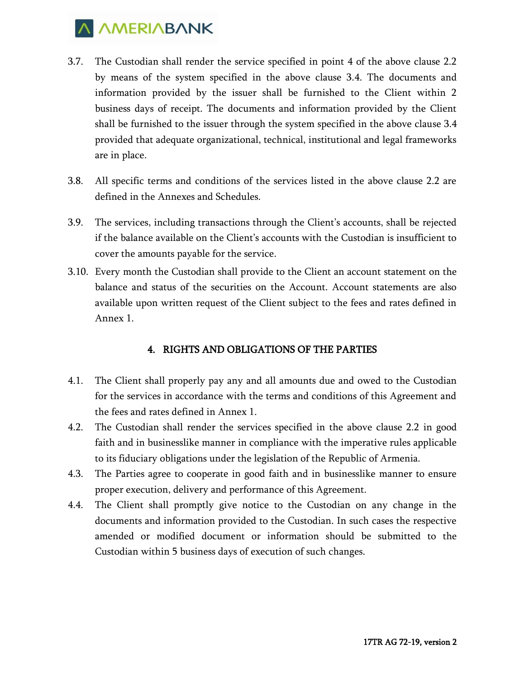

- 3.7. The Custodian shall render the service specified in point 4 of the above clause 2.2 by means of the system specified in the above clause 3.4. The documents and information provided by the issuer shall be furnished to the Client within 2 business days of receipt. The documents and information provided by the Client shall be furnished to the issuer through the system specified in the above clause 3.4 provided that adequate organizational, technical, institutional and legal frameworks are in place.
- 3.8. All specific terms and conditions of the services listed in the above clause 2.2 are defined in the Annexes and Schedules.
- 3.9. The services, including transactions through the Client's accounts, shall be rejected if the balance available on the Client's accounts with the Custodian is insufficient to cover the amounts payable for the service.
- 3.10. Every month the Custodian shall provide to the Client an account statement on the balance and status of the securities on the Account. Account statements are also available upon written request of the Client subject to the fees and rates defined in Annex 1.

## 4. RIGHTS AND OBLIGATIONS OF THE PARTIES

- 4.1. The Client shall properly pay any and all amounts due and owed to the Custodian for the services in accordance with the terms and conditions of this Agreement and the fees and rates defined in Annex 1.
- 4.2. The Custodian shall render the services specified in the above clause 2.2 in good faith and in businesslike manner in compliance with the imperative rules applicable to its fiduciary obligations under the legislation of the Republic of Armenia.
- 4.3. The Parties agree to cooperate in good faith and in businesslike manner to ensure proper execution, delivery and performance of this Agreement.
- 4.4. The Client shall promptly give notice to the Custodian on any change in the documents and information provided to the Custodian. In such cases the respective amended or modified document or information should be submitted to the Custodian within 5 business days of execution of such changes.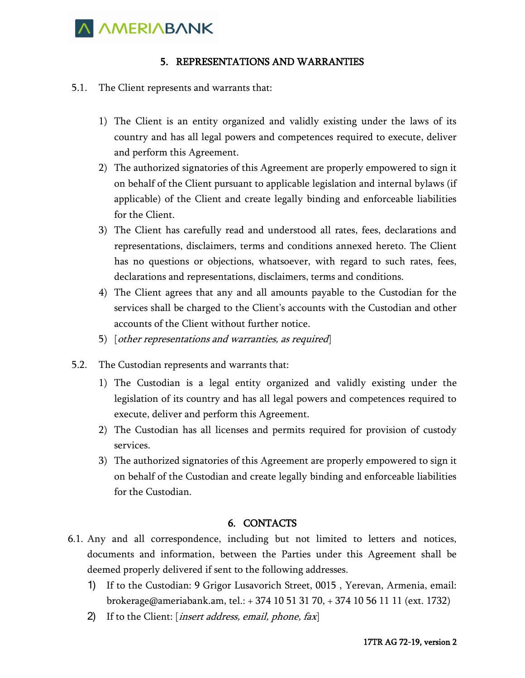

#### 5. REPRESENTATIONS AND WARRANTIES

- 5.1. The Client represents and warrants that:
	- 1) The Client is an entity organized and validly existing under the laws of its country and has all legal powers and competences required to execute, deliver and perform this Agreement.
	- 2) The authorized signatories of this Agreement are properly empowered to sign it on behalf of the Client pursuant to applicable legislation and internal bylaws (if applicable) of the Client and create legally binding and enforceable liabilities for the Client.
	- 3) The Client has carefully read and understood all rates, fees, declarations and representations, disclaimers, terms and conditions annexed hereto. The Client has no questions or objections, whatsoever, with regard to such rates, fees, declarations and representations, disclaimers, terms and conditions.
	- 4) The Client agrees that any and all amounts payable to the Custodian for the services shall be charged to the Client's accounts with the Custodian and other accounts of the Client without further notice.
	- 5) [other representations and warranties, as required]
- 5.2. The Custodian represents and warrants that:
	- 1) The Custodian is a legal entity organized and validly existing under the legislation of its country and has all legal powers and competences required to execute, deliver and perform this Agreement.
	- 2) The Custodian has all licenses and permits required for provision of custody services.
	- 3) The authorized signatories of this Agreement are properly empowered to sign it on behalf of the Custodian and create legally binding and enforceable liabilities for the Custodian.

## 6. CONTACTS

- 6.1. Any and all correspondence, including but not limited to letters and notices, documents and information, between the Parties under this Agreement shall be deemed properly delivered if sent to the following addresses.
	- 1) If to the Custodian: 9 Grigor Lusavorich Street, 0015 , Yerevan, Armenia, email: brokerage@ameriabank.am, tel.: + 374 10 51 31 70, + 374 10 56 11 11 (ext. 1732)
	- 2) If to the Client: [*insert address, email, phone, fax*]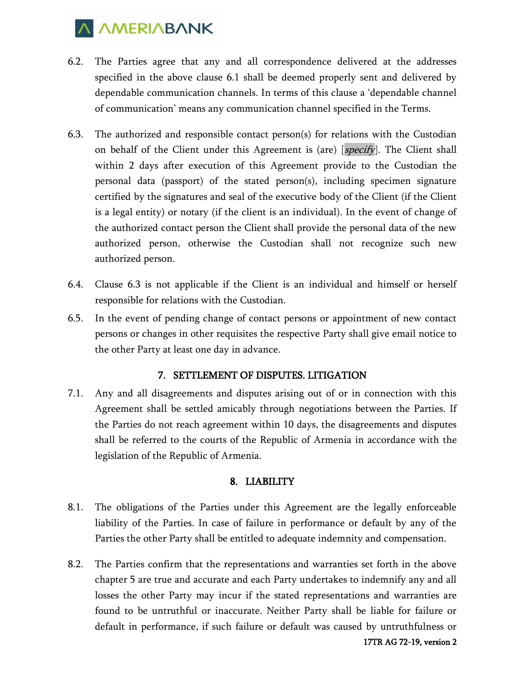

- 6.2. The Parties agree that any and all correspondence delivered at the addresses specified in the above clause 6.1 shall be deemed properly sent and delivered by dependable communication channels. In terms of this clause a 'dependable channel of communication' means any communication channel specified in the Terms.
- 6.3. The authorized and responsible contact person(s) for relations with the Custodian on behalf of the Client under this Agreement is (are) [*specify*]. The Client shall within 2 days after execution of this Agreement provide to the Custodian the personal data (passport) of the stated person(s), including specimen signature certified by the signatures and seal of the executive body of the Client (if the Client is a legal entity) or notary (if the client is an individual). In the event of change of the authorized contact person the Client shall provide the personal data of the new authorized person, otherwise the Custodian shall not recognize such new authorized person.
- 6.4. Clause 6.3 is not applicable if the Client is an individual and himself or herself responsible for relations with the Custodian.
- 6.5. In the event of pending change of contact persons or appointment of new contact persons or changes in other requisites the respective Party shall give email notice to the other Party at least one day in advance.

#### 7. SETTLEMENT OF DISPUTES. LITIGATION

7.1. Any and all disagreements and disputes arising out of or in connection with this Agreement shall be settled amicably through negotiations between the Parties. If the Parties do not reach agreement within 10 days, the disagreements and disputes shall be referred to the courts of the Republic of Armenia in accordance with the legislation of the Republic of Armenia.

## 8. LIABILITY

- 8.1. The obligations of the Parties under this Agreement are the legally enforceable liability of the Parties. In case of failure in performance or default by any of the Parties the other Party shall be entitled to adequate indemnity and compensation.
- 8.2. The Parties confirm that the representations and warranties set forth in the above chapter 5 are true and accurate and each Party undertakes to indemnify any and all losses the other Party may incur if the stated representations and warranties are found to be untruthful or inaccurate. Neither Party shall be liable for failure or default in performance, if such failure or default was caused by untruthfulness or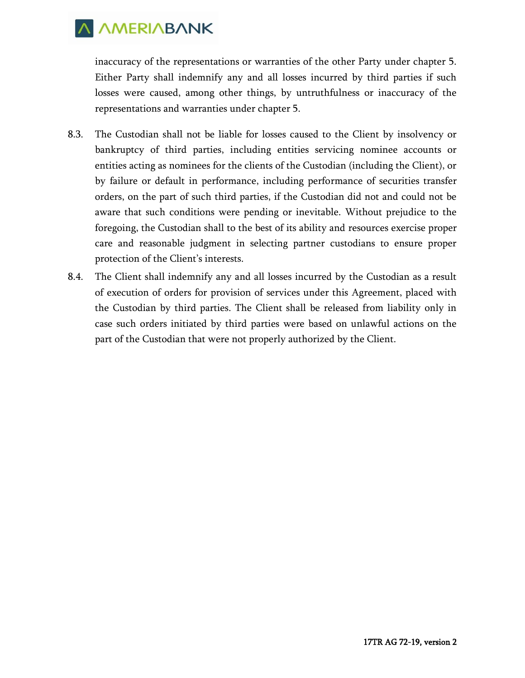

inaccuracy of the representations or warranties of the other Party under chapter 5. Either Party shall indemnify any and all losses incurred by third parties if such losses were caused, among other things, by untruthfulness or inaccuracy of the representations and warranties under chapter 5.

- 8.3. The Custodian shall not be liable for losses caused to the Client by insolvency or bankruptcy of third parties, including entities servicing nominee accounts or entities acting as nominees for the clients of the Custodian (including the Client), or by failure or default in performance, including performance of securities transfer orders, on the part of such third parties, if the Custodian did not and could not be aware that such conditions were pending or inevitable. Without prejudice to the foregoing, the Custodian shall to the best of its ability and resources exercise proper care and reasonable judgment in selecting partner custodians to ensure proper protection of the Client's interests.
- 8.4. The Client shall indemnify any and all losses incurred by the Custodian as a result of execution of orders for provision of services under this Agreement, placed with the Custodian by third parties. The Client shall be released from liability only in case such orders initiated by third parties were based on unlawful actions on the part of the Custodian that were not properly authorized by the Client.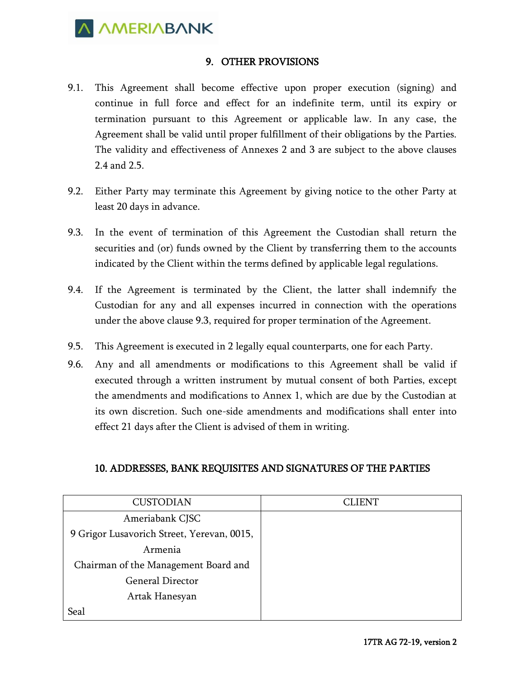

## 9. OTHER PROVISIONS

- 9.1. This Agreement shall become effective upon proper execution (signing) and continue in full force and effect for an indefinite term, until its expiry or termination pursuant to this Agreement or applicable law. In any case, the Agreement shall be valid until proper fulfillment of their obligations by the Parties. The validity and effectiveness of Annexes 2 and 3 are subject to the above clauses 2.4 and 2.5.
- 9.2. Either Party may terminate this Agreement by giving notice to the other Party at least 20 days in advance.
- 9.3. In the event of termination of this Agreement the Custodian shall return the securities and (or) funds owned by the Client by transferring them to the accounts indicated by the Client within the terms defined by applicable legal regulations.
- 9.4. If the Agreement is terminated by the Client, the latter shall indemnify the Custodian for any and all expenses incurred in connection with the operations under the above clause 9.3, required for proper termination of the Agreement.
- 9.5. This Agreement is executed in 2 legally equal counterparts, one for each Party.
- 9.6. Any and all amendments or modifications to this Agreement shall be valid if executed through a written instrument by mutual consent of both Parties, except the amendments and modifications to Annex 1, which are due by the Custodian at its own discretion. Such one-side amendments and modifications shall enter into effect 21 days after the Client is advised of them in writing.

## 10. ADDRESSES, BANK REQUISITES AND SIGNATURES OF THE PARTIES

| <b>CUSTODIAN</b>                           | CLIENT |
|--------------------------------------------|--------|
| Ameriabank CJSC                            |        |
| 9 Grigor Lusavorich Street, Yerevan, 0015, |        |
| Armenia                                    |        |
| Chairman of the Management Board and       |        |
| <b>General Director</b>                    |        |
| Artak Hanesyan                             |        |
| Seal                                       |        |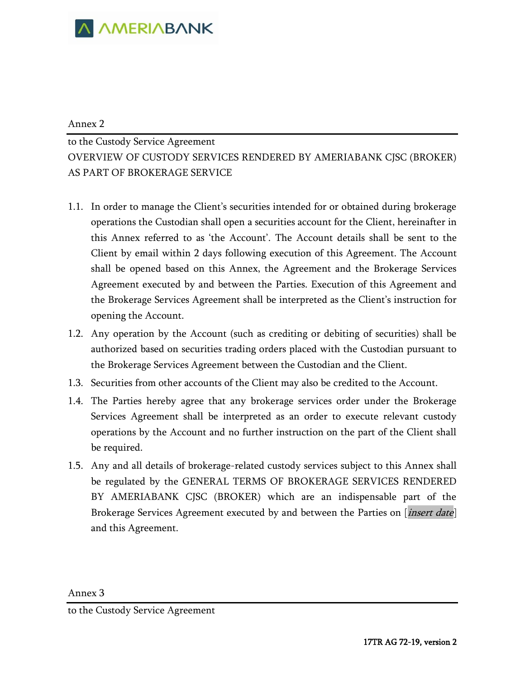

#### Annex 2

to the Custody Service Agreement OVERVIEW OF CUSTODY SERVICES RENDERED BY AMERIABANK CJSC (BROKER) AS PART OF BROKERAGE SERVICE

- 1.1. In order to manage the Client's securities intended for or obtained during brokerage operations the Custodian shall open a securities account for the Client, hereinafter in this Annex referred to as 'the Account'. The Account details shall be sent to the Client by email within 2 days following execution of this Agreement. The Account shall be opened based on this Annex, the Agreement and the Brokerage Services Agreement executed by and between the Parties. Execution of this Agreement and the Brokerage Services Agreement shall be interpreted as the Client's instruction for opening the Account.
- 1.2. Any operation by the Account (such as crediting or debiting of securities) shall be authorized based on securities trading orders placed with the Custodian pursuant to the Brokerage Services Agreement between the Custodian and the Client.
- 1.3. Securities from other accounts of the Client may also be credited to the Account.
- 1.4. The Parties hereby agree that any brokerage services order under the Brokerage Services Agreement shall be interpreted as an order to execute relevant custody operations by the Account and no further instruction on the part of the Client shall be required.
- 1.5. Any and all details of brokerage-related custody services subject to this Annex shall be regulated by the GENERAL TERMS OF BROKERAGE SERVICES RENDERED BY AMERIABANK CJSC (BROKER) which are an indispensable part of the Brokerage Services Agreement executed by and between the Parties on [*insert date*] and this Agreement.

Annex 3

to the Custody Service Agreement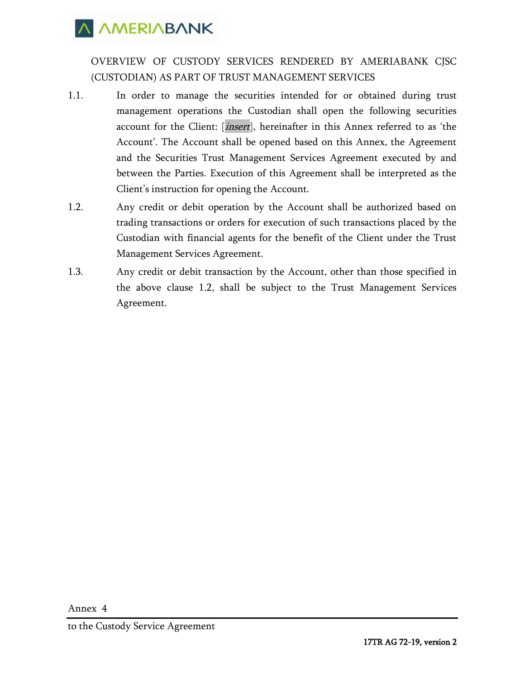OVERVIEW OF CUSTODY SERVICES RENDERED BY AMERIABANK CJSC (CUSTODIAN) AS PART OF TRUST MANAGEMENT SERVICES

- 1.1. In order to manage the securities intended for or obtained during trust management operations the Custodian shall open the following securities account for the Client: [*insert*], hereinafter in this Annex referred to as 'the Account'. The Account shall be opened based on this Annex, the Agreement and the Securities Trust Management Services Agreement executed by and between the Parties. Execution of this Agreement shall be interpreted as the Client's instruction for opening the Account.
- 1.2. Any credit or debit operation by the Account shall be authorized based on trading transactions or orders for execution of such transactions placed by the Custodian with financial agents for the benefit of the Client under the Trust Management Services Agreement.
- 1.3. Any credit or debit transaction by the Account, other than those specified in the above clause 1.2, shall be subject to the Trust Management Services Agreement.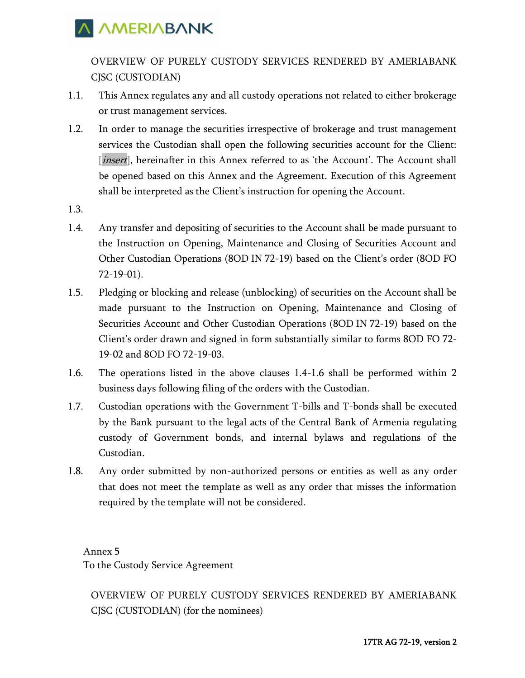OVERVIEW OF PURELY CUSTODY SERVICES RENDERED BY AMERIABANK CJSC (CUSTODIAN)

- 1.1. This Annex regulates any and all custody operations not related to either brokerage or trust management services.
- 1.2. In order to manage the securities irrespective of brokerage and trust management services the Custodian shall open the following securities account for the Client: [*insert*], hereinafter in this Annex referred to as 'the Account'. The Account shall be opened based on this Annex and the Agreement. Execution of this Agreement shall be interpreted as the Client's instruction for opening the Account.
- 1.3.
- 1.4. Any transfer and depositing of securities to the Account shall be made pursuant to the Instruction on Opening, Maintenance and Closing of Securities Account and Other Custodian Operations (8OD IN 72-19) based on the Client's order (8OD FO 72-19-01).
- 1.5. Pledging or blocking and release (unblocking) of securities on the Account shall be made pursuant to the Instruction on Opening, Maintenance and Closing of Securities Account and Other Custodian Operations (8OD IN 72-19) based on the Client's order drawn and signed in form substantially similar to forms 8OD FO 72- 19-02 and 8OD FO 72-19-03.
- 1.6. The operations listed in the above clauses 1.4-1.6 shall be performed within 2 business days following filing of the orders with the Custodian.
- 1.7. Custodian operations with the Government T-bills and T-bonds shall be executed by the Bank pursuant to the legal acts of the Central Bank of Armenia regulating custody of Government bonds, and internal bylaws and regulations of the Custodian.
- 1.8. Any order submitted by non-authorized persons or entities as well as any order that does not meet the template as well as any order that misses the information required by the template will not be considered.

Annex 5 To the Custody Service Agreement

OVERVIEW OF PURELY CUSTODY SERVICES RENDERED BY AMERIABANK CJSC (CUSTODIAN) (for the nominees)